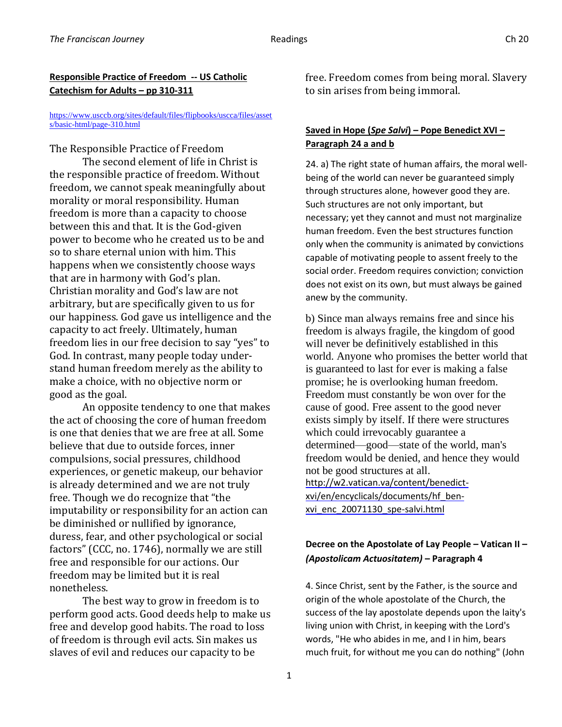## **Responsible Practice of Freedom -- US Catholic Catechism for Adults – pp 310-311**

#### [https://www.usccb.org/sites/default/files/flipbooks/uscca/files/asset](https://www.usccb.org/sites/default/files/flipbooks/uscca/files/assets/basic-html/page-310.html) [s/basic-html/page-310.html](https://www.usccb.org/sites/default/files/flipbooks/uscca/files/assets/basic-html/page-310.html)

The Responsible Practice of Freedom

The second element of life in Christ is the responsible practice of freedom. Without freedom, we cannot speak meaningfully about morality or moral responsibility. Human freedom is more than a capacity to choose between this and that. It is the God-given power to become who he created us to be and so to share eternal union with him. This happens when we consistently choose ways that are in harmony with God's plan. Christian morality and God's law are not arbitrary, but are specifically given to us for our happiness. God gave us intelligence and the capacity to act freely. Ultimately, human freedom lies in our free decision to say "yes" to God. In contrast, many people today understand human freedom merely as the ability to make a choice, with no objective norm or good as the goal.

An opposite tendency to one that makes the act of choosing the core of human freedom is one that denies that we are free at all. Some believe that due to outside forces, inner compulsions, social pressures, childhood experiences, or genetic makeup, our behavior is already determined and we are not truly free. Though we do recognize that "the imputability or responsibility for an action can be diminished or nullified by ignorance, duress, fear, and other psychological or social factors" (CCC, no. 1746), normally we are still free and responsible for our actions. Our freedom may be limited but it is real nonetheless.

The best way to grow in freedom is to perform good acts. Good deeds help to make us free and develop good habits. The road to loss of freedom is through evil acts. Sin makes us slaves of evil and reduces our capacity to be

free. Freedom comes from being moral. Slavery to sin arises from being immoral.

## **Saved in Hope (***Spe Salvi***) – Pope Benedict XVI – Paragraph 24 a and b**

24. a) The right state of human affairs, the moral wellbeing of the world can never be guaranteed simply through structures alone, however good they are. Such structures are not only important, but necessary; yet they cannot and must not marginalize human freedom. Even the best structures function only when the community is animated by convictions capable of motivating people to assent freely to the social order. Freedom requires conviction; conviction does not exist on its own, but must always be gained anew by the community.

b) Since man always remains free and since his freedom is always fragile, the kingdom of good will never be definitively established in this world. Anyone who promises the better world that is guaranteed to last for ever is making a false promise; he is overlooking human freedom. Freedom must constantly be won over for the cause of good. Free assent to the good never exists simply by itself. If there were structures which could irrevocably guarantee a determined—good—state of the world, man's freedom would be denied, and hence they would not be good structures at all. [http://w2.vatican.va/content/benedict](http://w2.vatican.va/content/benedict-xvi/en/encyclicals/documents/hf_ben-xvi_enc_20071130_spe-salvi.html)[xvi/en/encyclicals/documents/hf\\_ben](http://w2.vatican.va/content/benedict-xvi/en/encyclicals/documents/hf_ben-xvi_enc_20071130_spe-salvi.html)[xvi\\_enc\\_20071130\\_spe-salvi.html](http://w2.vatican.va/content/benedict-xvi/en/encyclicals/documents/hf_ben-xvi_enc_20071130_spe-salvi.html)

# **Decree on the Apostolate of Lay People – Vatican II –** *(Apostolicam Actuositatem)* **– Paragraph 4**

4. Since Christ, sent by the Father, is the source and origin of the whole apostolate of the Church, the success of the lay apostolate depends upon the laity's living union with Christ, in keeping with the Lord's words, "He who abides in me, and I in him, bears much fruit, for without me you can do nothing" (John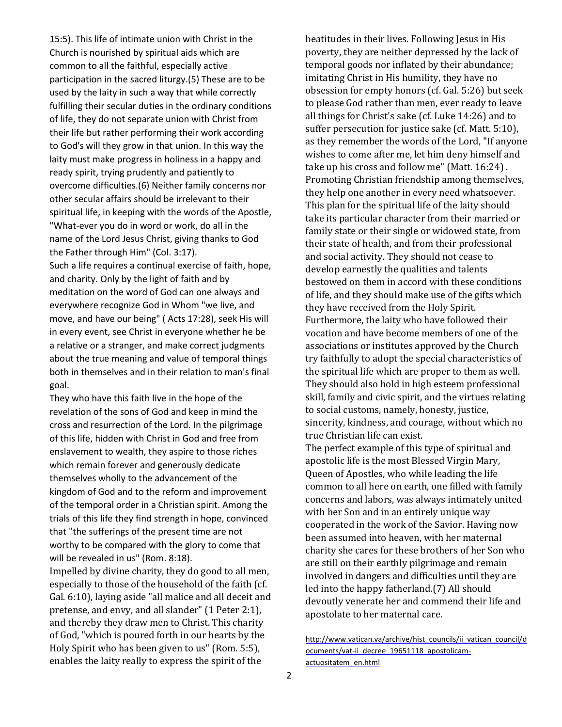15:5). This life of intimate union with Christ in the Church is nourished by spiritual aids which are common to all the faithful, especially active participation in the sacred liturgy.(5) These are to be used by the laity in such a way that while correctly fulfilling their secular duties in the ordinary conditions of life, they do not separate union with Christ from their life but rather performing their work according to God's will they grow in that union. In this way the laity must make progress in holiness in a happy and ready spirit, trying prudently and patiently to overcome difficulties.(6) Neither family concerns nor other secular affairs should be irrelevant to their spiritual life, in keeping with the words of the Apostle, "What-ever you do in word or work, do all in the name of the Lord Jesus Christ, giving thanks to God the Father through Him" (Col. 3:17). Such a life requires a continual exercise of faith, hope, and charity. Only by the light of faith and by meditation on the word of God can one always and everywhere recognize God in Whom "we live, and move, and have our being" ( Acts 17:28), seek His will in every event, see Christ in everyone whether he be a relative or a stranger, and make correct judgments about the true meaning and value of temporal things both in themselves and in their relation to man's final goal.

They who have this faith live in the hope of the revelation of the sons of God and keep in mind the cross and resurrection of the Lord. In the pilgrimage of this life, hidden with Christ in God and free from enslavement to wealth, they aspire to those riches which remain forever and generously dedicate themselves wholly to the advancement of the kingdom of God and to the reform and improvement of the temporal order in a Christian spirit. Among the trials of this life they find strength in hope, convinced that "the sufferings of the present time are not worthy to be compared with the glory to come that will be revealed in us" (Rom. 8:18).

Impelled by divine charity, they do good to all men, especially to those of the household of the faith (cf. Gal. 6:10), laying aside "all malice and all deceit and pretense, and envy, and all slander" (1 Peter 2:1), and thereby they draw men to Christ. This charity of God, "which is poured forth in our hearts by the Holy Spirit who has been given to us" (Rom. 5:5), enables the laity really to express the spirit of the

beatitudes in their lives. Following Jesus in His poverty, they are neither depressed by the lack of temporal goods nor inflated by their abundance; imitating Christ in His humility, they have no obsession for empty honors (cf. Gal. 5:26) but seek to please God rather than men, ever ready to leave all things for Christ's sake (cf. Luke 14:26) and to suffer persecution for justice sake (cf. Matt. 5:10), as they remember the words of the Lord, "If anyone wishes to come after me, let him deny himself and take up his cross and follow me" (Matt. 16:24) . Promoting Christian friendship among themselves, they help one another in every need whatsoever. This plan for the spiritual life of the laity should take its particular character from their married or family state or their single or widowed state, from their state of health, and from their professional and social activity. They should not cease to develop earnestly the qualities and talents bestowed on them in accord with these conditions of life, and they should make use of the gifts which they have received from the Holy Spirit. Furthermore, the laity who have followed their vocation and have become members of one of the associations or institutes approved by the Church try faithfully to adopt the special characteristics of the spiritual life which are proper to them as well. They should also hold in high esteem professional skill, family and civic spirit, and the virtues relating to social customs, namely, honesty, justice, sincerity, kindness, and courage, without which no true Christian life can exist.

The perfect example of this type of spiritual and apostolic life is the most Blessed Virgin Mary, Queen of Apostles, who while leading the life common to all here on earth, one filled with family concerns and labors, was always intimately united with her Son and in an entirely unique way cooperated in the work of the Savior. Having now been assumed into heaven, with her maternal charity she cares for these brothers of her Son who are still on their earthly pilgrimage and remain involved in dangers and difficulties until they are led into the happy fatherland.(7) All should devoutly venerate her and commend their life and apostolate to her maternal care.

[http://www.vatican.va/archive/hist\\_councils/ii\\_vatican\\_council/d](http://www.vatican.va/archive/hist_councils/ii_vatican_council/documents/vat-ii_decree_19651118_apostolicam-actuositatem_en.html) [ocuments/vat-ii\\_decree\\_19651118\\_apostolicam](http://www.vatican.va/archive/hist_councils/ii_vatican_council/documents/vat-ii_decree_19651118_apostolicam-actuositatem_en.html)[actuositatem\\_en.html](http://www.vatican.va/archive/hist_councils/ii_vatican_council/documents/vat-ii_decree_19651118_apostolicam-actuositatem_en.html)